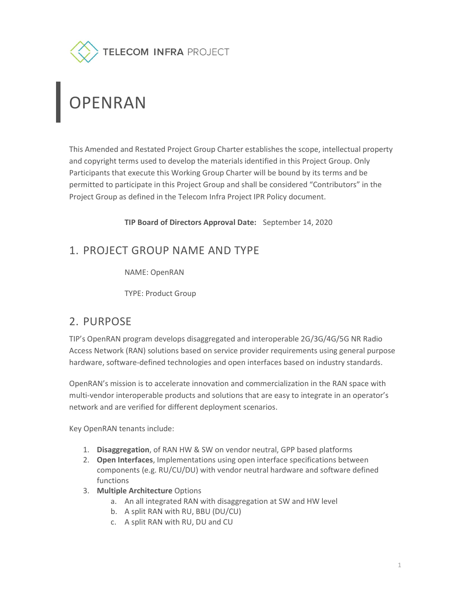

# **PENRAN**

This Amended and Restated Project Group Charter establishes the scope, intellectual property and copyright terms used to develop the materials identified in this Project Group. Only Participants that execute this Working Group Charter will be bound by its terms and be permitted to participate in this Project Group and shall be considered "Contributors" in the Project Group as defined in the Telecom Infra Project IPR Policy document.

TIP Board of Directors Approval Date: September 14, 2020

## 1. PROJECT GROUP NAME AND TYPE

NAME: OpenRAN

TYPE: Product Group

## 2. PURPOSE

TIP's OpenRAN program develops disaggregated and interoperable 2G/3G/4G/5G NR Radio Access Network (RAN) solutions based on service provider requirements using general purpose hardware, software-defined technologies and open interfaces based on industry standards.

OpenRAN's mission is to accelerate innovation and commercialization in the RAN space with multi-vendor interoperable products and solutions that are easy to integrate in an operator's network and are verified for different deployment scenarios.

Key OpenRAN tenants include:

- 1. Disaggregation, of RAN HW & SW on vendor neutral, GPP based platforms
- 2. Open Interfaces, Implementations using open interface specifications between components (e.g. RU/CU/DU) with vendor neutral hardware and software defined functions
- 3. Multiple Architecture Options
	- a. An all integrated RAN with disaggregation at SW and HW level
	- b. A split RAN with RU, BBU (DU/CU)
	- c. A split RAN with RU, DU and CU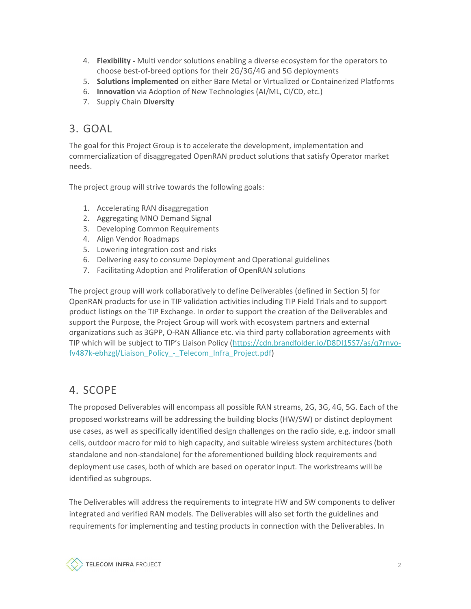- 4. Flexibility Multi vendor solutions enabling a diverse ecosystem for the operators to choose best-of-breed options for their 2G/3G/4G and 5G deployments
- 5. Solutions implemented on either Bare Metal or Virtualized or Containerized Platforms
- 6. Innovation via Adoption of New Technologies (AI/ML, CI/CD, etc.)
- 7. Supply Chain Diversity

### 3. GOAL

The goal for this Project Group is to accelerate the development, implementation and commercialization of disaggregated OpenRAN product solutions that satisfy Operator market needs.

The project group will strive towards the following goals:

- 1. Accelerating RAN disaggregation
- 2. Aggregating MNO Demand Signal
- 3. Developing Common Requirements
- 4. Align Vendor Roadmaps
- 5. Lowering integration cost and risks
- 6. Delivering easy to consume Deployment and Operational guidelines
- 7. Facilitating Adoption and Proliferation of OpenRAN solutions

The project group will work collaboratively to define Deliverables (defined in Section 5) for OpenRAN products for use in TIP validation activities including TIP Field Trials and to support product listings on the TIP Exchange. In order to support the creation of the Deliverables and support the Purpose, the Project Group will work with ecosystem partners and external organizations such as 3GPP, O-RAN Alliance etc. via third party collaboration agreements with TIP which will be subject to TIP's Liaison Policy (https://cdn.brandfolder.io/D8DI15S7/as/q7rnyofv487k-ebhzgl/Liaison\_Policy\_-\_Telecom\_Infra\_Project.pdf)

## 4. SCOPE

The proposed Deliverables will encompass all possible RAN streams, 2G, 3G, 4G, 5G. Each of the proposed workstreams will be addressing the building blocks (HW/SW) or distinct deployment use cases, as well as specifically identified design challenges on the radio side, e.g. indoor small cells, outdoor macro for mid to high capacity, and suitable wireless system architectures (both standalone and non-standalone) for the aforementioned building block requirements and deployment use cases, both of which are based on operator input. The workstreams will be identified as subgroups.

The Deliverables will address the requirements to integrate HW and SW components to deliver integrated and verified RAN models. The Deliverables will also set forth the guidelines and requirements for implementing and testing products in connection with the Deliverables. In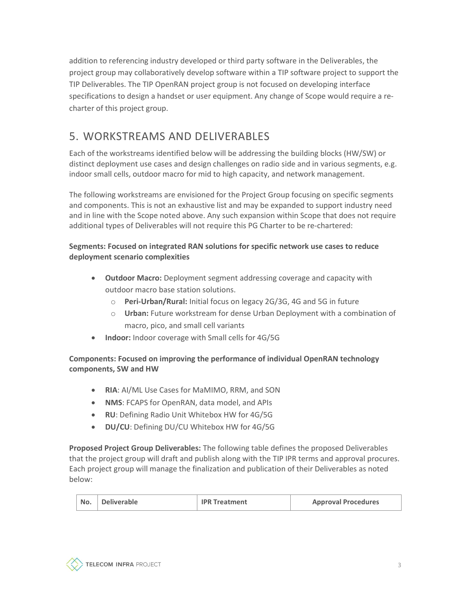addition to referencing industry developed or third party software in the Deliverables, the project group may collaboratively develop software within a TIP software project to support the TIP Deliverables. The TIP OpenRAN project group is not focused on developing interface specifications to design a handset or user equipment. Any change of Scope would require a recharter of this project group.

## 5. WORKSTREAMS AND DELIVERABLES

Each of the workstreams identified below will be addressing the building blocks (HW/SW) or distinct deployment use cases and design challenges on radio side and in various segments, e.g. indoor small cells, outdoor macro for mid to high capacity, and network management.

The following workstreams are envisioned for the Project Group focusing on specific segments and components. This is not an exhaustive list and may be expanded to support industry need and in line with the Scope noted above. Any such expansion within Scope that does not require additional types of Deliverables will not require this PG Charter to be re-chartered:

#### Segments: Focused on integrated RAN solutions for specific network use cases to reduce deployment scenario complexities

- Outdoor Macro: Deployment segment addressing coverage and capacity with outdoor macro base station solutions.
	- o Peri-Urban/Rural: Initial focus on legacy 2G/3G, 4G and 5G in future
	- $\circ$  Urban: Future workstream for dense Urban Deployment with a combination of macro, pico, and small cell variants
- Indoor: Indoor coverage with Small cells for 4G/5G

#### Components: Focused on improving the performance of individual OpenRAN technology components, SW and HW

- RIA: AI/ML Use Cases for MaMIMO, RRM, and SON
- NMS: FCAPS for OpenRAN, data model, and APIs
- RU: Defining Radio Unit Whitebox HW for 4G/5G
- DU/CU: Defining DU/CU Whitebox HW for 4G/5G

Proposed Project Group Deliverables: The following table defines the proposed Deliverables that the project group will draft and publish along with the TIP IPR terms and approval procures. Each project group will manage the finalization and publication of their Deliverables as noted below:

| Deliverable<br>No.<br><b>IPR Treatment</b> | <b>Approval Procedures</b> |
|--------------------------------------------|----------------------------|
|--------------------------------------------|----------------------------|

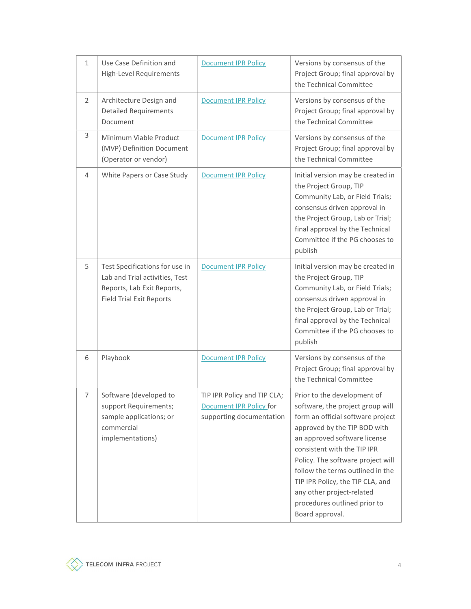| 1                     | Use Case Definition and<br><b>High-Level Requirements</b>                                                                         | <b>Document IPR Policy</b>                                                                | Versions by consensus of the<br>Project Group; final approval by<br>the Technical Committee                                                                                                                                                                                                                                                                                                      |
|-----------------------|-----------------------------------------------------------------------------------------------------------------------------------|-------------------------------------------------------------------------------------------|--------------------------------------------------------------------------------------------------------------------------------------------------------------------------------------------------------------------------------------------------------------------------------------------------------------------------------------------------------------------------------------------------|
| $\mathbf{2}^{\prime}$ | Architecture Design and<br><b>Detailed Requirements</b><br>Document                                                               | <b>Document IPR Policy</b>                                                                | Versions by consensus of the<br>Project Group; final approval by<br>the Technical Committee                                                                                                                                                                                                                                                                                                      |
| 3                     | Minimum Viable Product<br>(MVP) Definition Document<br>(Operator or vendor)                                                       | <b>Document IPR Policy</b>                                                                | Versions by consensus of the<br>Project Group; final approval by<br>the Technical Committee                                                                                                                                                                                                                                                                                                      |
| 4                     | White Papers or Case Study                                                                                                        | <b>Document IPR Policy</b>                                                                | Initial version may be created in<br>the Project Group, TIP<br>Community Lab, or Field Trials;<br>consensus driven approval in<br>the Project Group, Lab or Trial;<br>final approval by the Technical<br>Committee if the PG chooses to<br>publish                                                                                                                                               |
| 5                     | Test Specifications for use in<br>Lab and Trial activities, Test<br>Reports, Lab Exit Reports,<br><b>Field Trial Exit Reports</b> | <b>Document IPR Policy</b>                                                                | Initial version may be created in<br>the Project Group, TIP<br>Community Lab, or Field Trials;<br>consensus driven approval in<br>the Project Group, Lab or Trial;<br>final approval by the Technical<br>Committee if the PG chooses to<br>publish                                                                                                                                               |
| 6                     | Playbook                                                                                                                          | <b>Document IPR Policy</b>                                                                | Versions by consensus of the<br>Project Group; final approval by<br>the Technical Committee                                                                                                                                                                                                                                                                                                      |
| 7                     | Software (developed to<br>support Requirements;<br>sample applications; or<br>commercial<br>implementations)                      | TIP IPR Policy and TIP CLA;<br><b>Document IPR Policy for</b><br>supporting documentation | Prior to the development of<br>software, the project group will<br>form an official software project<br>approved by the TIP BOD with<br>an approved software license<br>consistent with the TIP IPR<br>Policy. The software project will<br>follow the terms outlined in the<br>TIP IPR Policy, the TIP CLA, and<br>any other project-related<br>procedures outlined prior to<br>Board approval. |

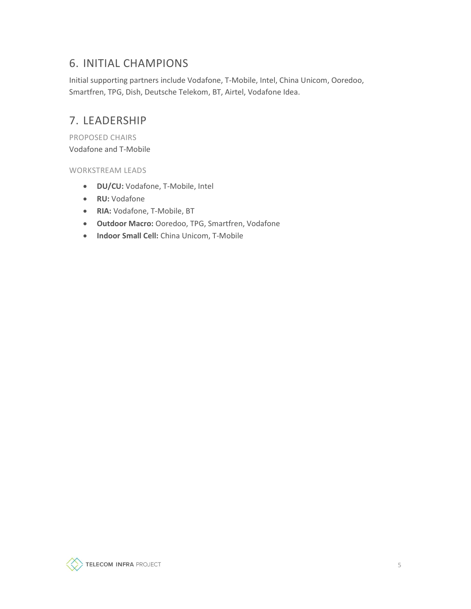## 6. INITIAL CHAMPIONS

Initial supporting partners include Vodafone, T-Mobile, Intel, China Unicom, Ooredoo, Smartfren, TPG, Dish, Deutsche Telekom, BT, Airtel, Vodafone Idea.

## 7. LEADERSHIP

PROPOSED CHAIRS Vodafone and T-Mobile

WORKSTREAM LEADS

- DU/CU: Vodafone, T-Mobile, Intel
- RU: Vodafone
- RIA: Vodafone, T-Mobile, BT
- Outdoor Macro: Ooredoo, TPG, Smartfren, Vodafone
- Indoor Small Cell: China Unicom, T-Mobile